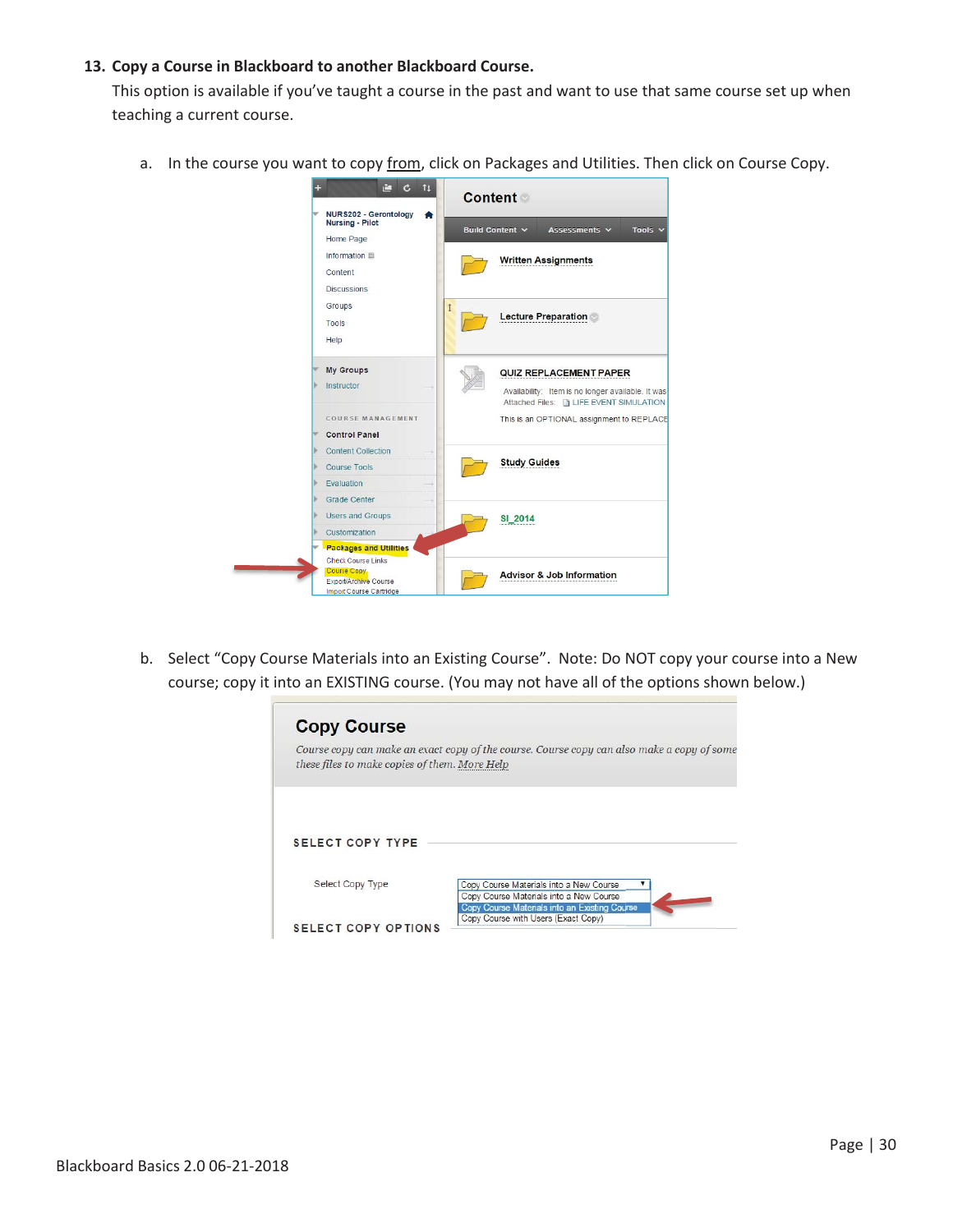## **13. Copy a Course in Blackboard to another Blackboard Course.**

This option is available if you've taught a course in the past and want to use that same course set up when teaching a current course.

a. In the course you want to copy from, click on Packages and Utilities. Then click on Course Copy.

| NURS202 - Gerontology                |            | <b>Content</b>                                                                                 |
|--------------------------------------|------------|------------------------------------------------------------------------------------------------|
| <b>Nursing - Pilot</b>               |            | Build Content Y<br>Tools $\vee$<br>Assessments $\vee$                                          |
| Home Page                            |            |                                                                                                |
| Information                          |            | <b>Written Assignments</b>                                                                     |
| Content                              |            |                                                                                                |
| <b>Discussions</b>                   |            |                                                                                                |
| Groups                               | $\uparrow$ |                                                                                                |
| Tools                                |            | <b>Lecture Preparation</b>                                                                     |
| Help                                 |            |                                                                                                |
|                                      |            |                                                                                                |
| <b>My Groups</b>                     |            | QUIZ REPLACEMENT PAPER                                                                         |
| Instructor                           |            |                                                                                                |
|                                      |            | Availability: Item is no longer available. It was<br>Attached Files: [3] LIFE EVENT SIMULATION |
| COURSE MANAGEMENT                    |            | This is an OPTIONAL assignment to REPLACE                                                      |
| <b>Control Panel</b>                 |            |                                                                                                |
| <b>Content Collection</b>            |            |                                                                                                |
| <b>Course Tools</b>                  |            | <b>Study Guides</b>                                                                            |
| <b>Fyaluation</b>                    |            |                                                                                                |
| Grade Center                         |            |                                                                                                |
| <b>Users and Groups</b>              |            | SI 2014                                                                                        |
| Customization                        |            |                                                                                                |
| <b>Packages and Utilities</b>        |            |                                                                                                |
| <b>Check Course Links</b>            |            |                                                                                                |
| Course Copy<br>Export/Archive Course |            | <b>Advisor &amp; Job Information</b>                                                           |
| Import Course Cartridge              |            |                                                                                                |

b. Select "Copy Course Materials into an Existing Course". Note: Do NOT copy your course into a New course; copy it into an EXISTING course. (You may not have all of the options shown below.)

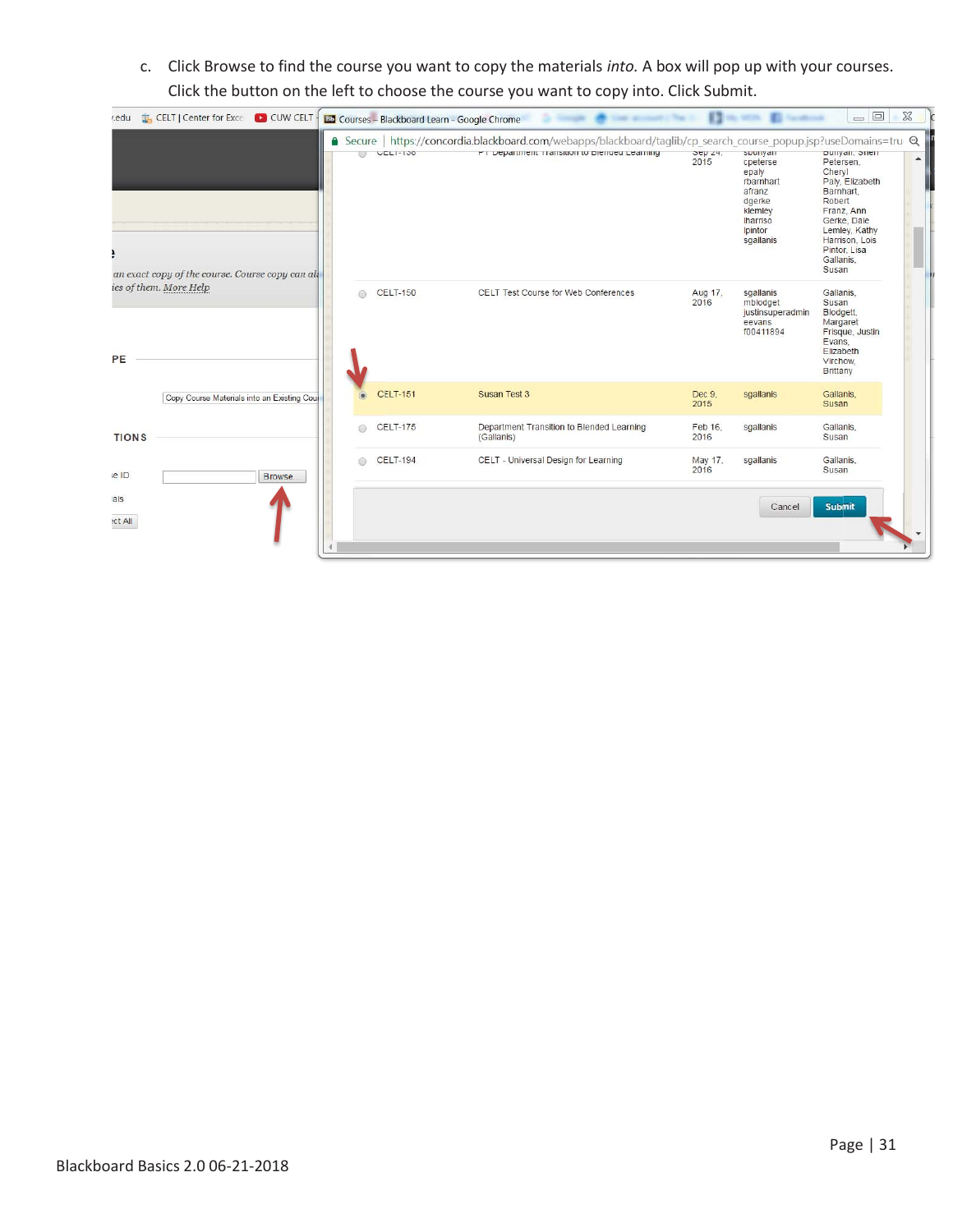c. Click Browse to find the course you want to copy the materials *into.* A box will pop up with your courses. Click the button on the left to choose the course you want to copy into. Click Submit.

| edu           | <b>LE, CELT   Center for Exce   CO CUW CELT -</b> |                          |                 | <b>ED</b> Courses - Blackboard Learn - Google Chrome                                                                                                            |                                        |                                                                                                                      | $=$ $\Box$                                                                                                                                                                            | $\Sigma$         |
|---------------|---------------------------------------------------|--------------------------|-----------------|-----------------------------------------------------------------------------------------------------------------------------------------------------------------|----------------------------------------|----------------------------------------------------------------------------------------------------------------------|---------------------------------------------------------------------------------------------------------------------------------------------------------------------------------------|------------------|
|               | an exact copy of the course. Course copy can all  | $\overline{\phantom{a}}$ | $ULLI-130$      | A Secure https://concordia.blackboard.com/webapps/blackboard/taglib/cp_search_course_popup.jsp?useDomains=tru Q<br>PT Department Transition to Biended Learning | $\overline{O}$ ep $\angle 4$ ,<br>2015 | suuriyan<br>cpeterse<br>epaly<br>rbarnhart<br>afranz<br>dgerke<br>klemley<br><b>Iharriso</b><br>Ipintor<br>sgallanis | Duriyan, Sherr<br>Petersen.<br>Cheryl<br>Paly, Elizabeth<br>Barnhart,<br>Robert<br>Franz, Ann<br>Gerke, Dale<br>Lemley, Kathy<br>Harrison, Lois<br>Pintor, Lisa<br>Gallanis.<br>Susan | $\blacktriangle$ |
| PE            | ies of them. More Help                            | ◎                        | <b>CELT-150</b> | CELT Test Course for Web Conferences                                                                                                                            | Aug 17,<br>2016                        | sgallanis<br>mblodget<br>justinsuperadmin<br>eevans<br>f00411894                                                     | Gallanis.<br>Susan<br>Blodgett.<br>Margaret<br>Frisque, Justin<br>Evans.<br>Elizabeth<br>Virchow.<br><b>Brittany</b>                                                                  |                  |
|               | Copy Course Materials into an Existing Cour       |                          | <b>CELT-151</b> | Susan Test 3                                                                                                                                                    | Dec 9,<br>2015                         | sgallanis                                                                                                            | Gallanis.<br>Susan                                                                                                                                                                    |                  |
| <b>TIONS</b>  |                                                   | ⋒                        | <b>CELT-175</b> | Department Transition to Blended Learning<br>(Gallanis)                                                                                                         | Feb 16,<br>2016                        | sgallanis                                                                                                            | Gallanis,<br>Susan                                                                                                                                                                    |                  |
| e ID          | Browse.                                           | ⋒                        | <b>CELT-194</b> | CELT - Universal Design for Learning                                                                                                                            | May 17,<br>2016                        | sgallanis                                                                                                            | Gallanis.<br>Susan                                                                                                                                                                    |                  |
| als<br>ct All |                                                   |                          |                 |                                                                                                                                                                 |                                        | Cancel                                                                                                               | <b>Submit</b>                                                                                                                                                                         |                  |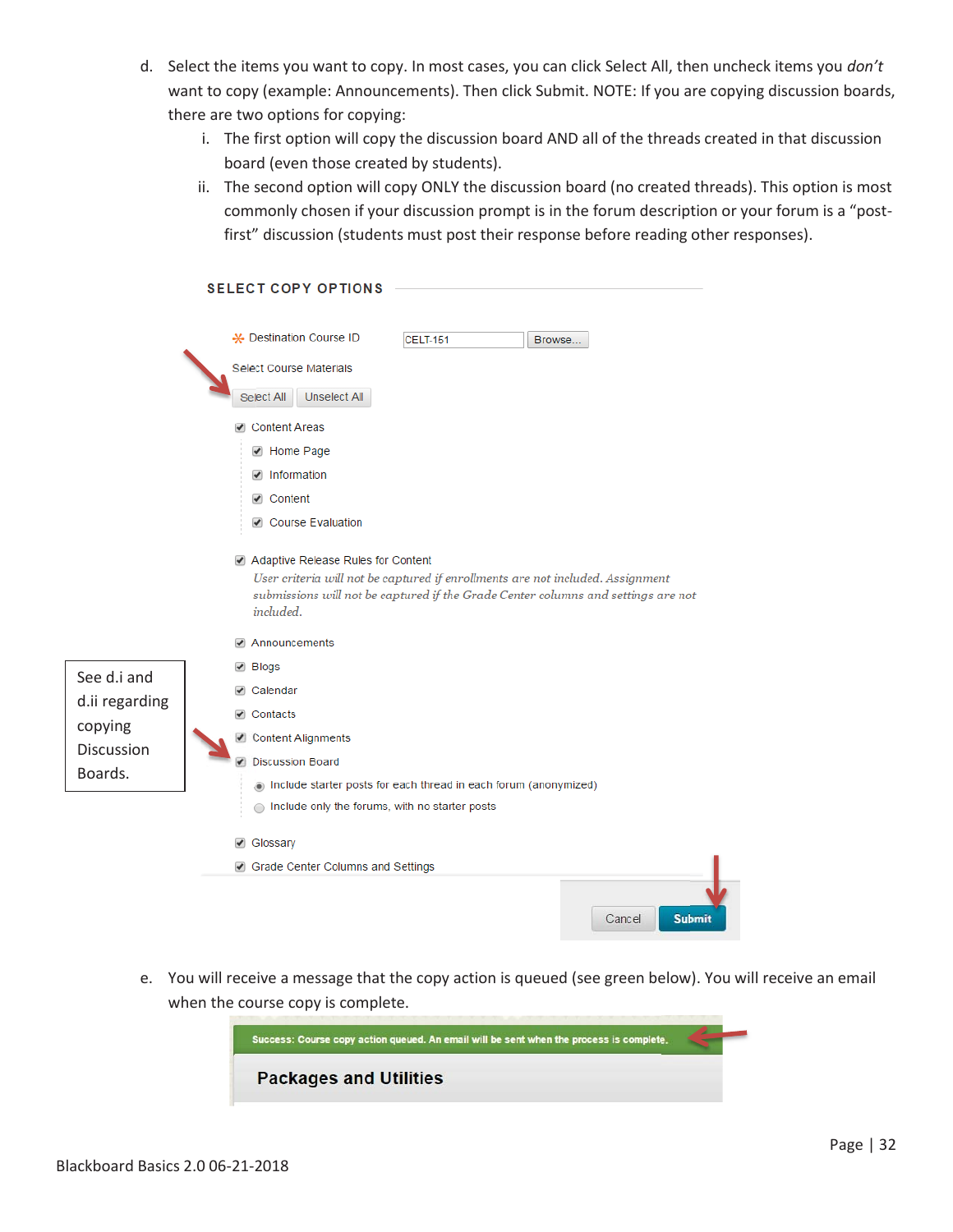- d. Select the items you want to copy. In most cases, you can click Select All, then uncheck items you *don't* want to copy (example: Announcements). Then click Submit. NOTE: If you are copying discussion boards, there are two options for copying:
	- i. The first option will copy the discussion board AND all of the threads created in that discussion board (even those created by students).
	- ii. The second option will copy ONLY the discussion board (no created threads). This option is most commonly chosen if your discussion prompt is in the forum description or your forum is a "postfirst" discussion (students must post their response before reading other responses).

|                   |                         | <b>SELECT COPY OPTIONS</b>         |                                                                 |                                                                                                                                                                     |
|-------------------|-------------------------|------------------------------------|-----------------------------------------------------------------|---------------------------------------------------------------------------------------------------------------------------------------------------------------------|
|                   |                         | - Destination Course ID            | CELT-151                                                        | Browse                                                                                                                                                              |
|                   | Select Course Materials |                                    |                                                                 |                                                                                                                                                                     |
|                   | Select All              | Unselect All                       |                                                                 |                                                                                                                                                                     |
|                   | Content Areas           |                                    |                                                                 |                                                                                                                                                                     |
|                   | ■ Home Page             |                                    |                                                                 |                                                                                                                                                                     |
|                   | ■ Information           |                                    |                                                                 |                                                                                                                                                                     |
|                   | ☑ Content               |                                    |                                                                 |                                                                                                                                                                     |
|                   |                         | ☑ Course Evaluation                |                                                                 |                                                                                                                                                                     |
|                   | included.               | Adaptive Release Rules for Content |                                                                 | User criteria will not be captured if enrollments are not included. Assignment<br>submissions will not be captured if the Grade Center columns and settings are not |
|                   | Announcements<br>✔      |                                    |                                                                 |                                                                                                                                                                     |
| See d.i and       | ✔ Blogs                 |                                    |                                                                 |                                                                                                                                                                     |
| d.ii regarding    | $\sqrt{ }$ Calendar     |                                    |                                                                 |                                                                                                                                                                     |
| copying           | $\sqrt{ }$ Contacts     |                                    |                                                                 |                                                                                                                                                                     |
| <b>Discussion</b> | Content Alignments      |                                    |                                                                 |                                                                                                                                                                     |
| Boards.           | $\overline{\mathbf{r}}$ | <b>Discussion Board</b>            |                                                                 |                                                                                                                                                                     |
|                   |                         |                                    | nclude starter posts for each thread in each forum (anonymized) |                                                                                                                                                                     |
|                   |                         |                                    | Include only the forums, with no starter posts                  |                                                                                                                                                                     |
|                   | ✔ Glossary              |                                    |                                                                 |                                                                                                                                                                     |
|                   |                         | Grade Center Columns and Settings  |                                                                 |                                                                                                                                                                     |
|                   |                         |                                    |                                                                 | <b>Submit</b><br>Cancel                                                                                                                                             |

e. You will receive a message that the copy action is queued (see green below). You will receive an email when the course copy is complete.